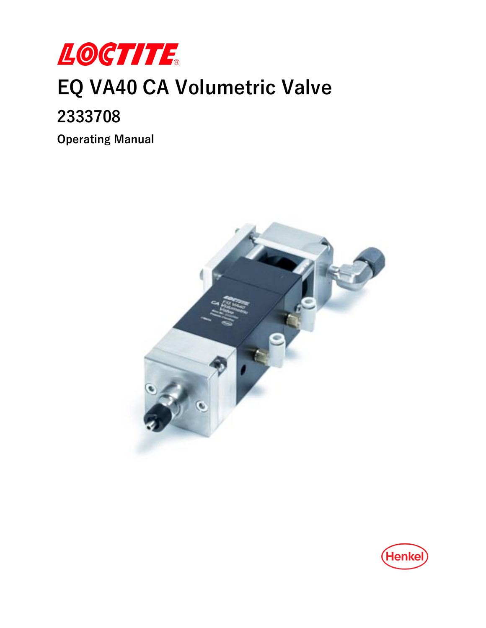

# **EQ VA40 CA Volumetric Valve**

## **2333708**

**Operating Manual**



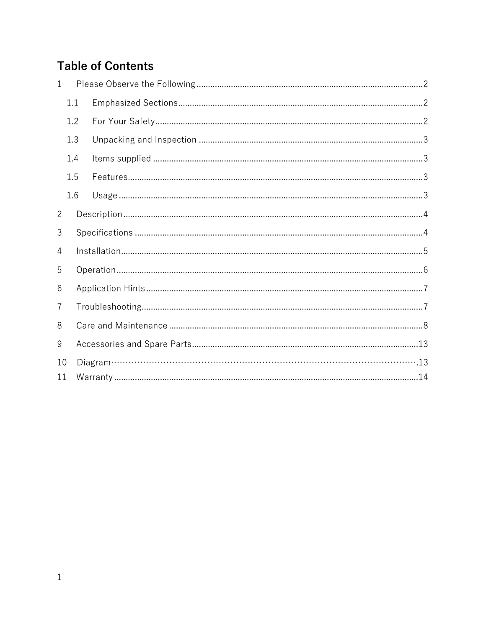## **Table of Contents**

| 1              |     |  |  |  |  |  |  |
|----------------|-----|--|--|--|--|--|--|
|                | 1.1 |  |  |  |  |  |  |
|                | 1.2 |  |  |  |  |  |  |
|                | 1.3 |  |  |  |  |  |  |
|                | 1.4 |  |  |  |  |  |  |
|                | 1.5 |  |  |  |  |  |  |
|                | 1.6 |  |  |  |  |  |  |
| $\overline{2}$ |     |  |  |  |  |  |  |
| 3              |     |  |  |  |  |  |  |
| 4              |     |  |  |  |  |  |  |
| 5              |     |  |  |  |  |  |  |
| 6              |     |  |  |  |  |  |  |
| 7              |     |  |  |  |  |  |  |
| 8              |     |  |  |  |  |  |  |
| 9              |     |  |  |  |  |  |  |
| 10             |     |  |  |  |  |  |  |
| 11             |     |  |  |  |  |  |  |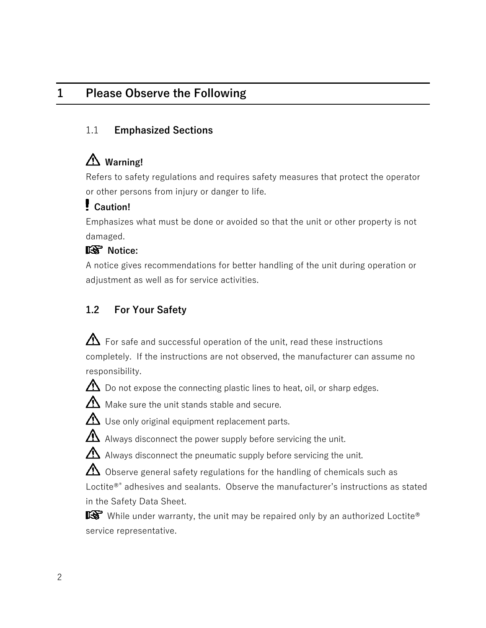## <span id="page-2-0"></span>**1 Please Observe the Following**

## <span id="page-2-1"></span>1.1 **Emphasized Sections**

## **Warning!**

Refers to safety regulations and requires safety measures that protect the operator or other persons from injury or danger to life.

## **Caution!**

Emphasizes what must be done or avoided so that the unit or other property is not damaged.

## **图** Notice:

A notice gives recommendations for better handling of the unit during operation or adjustment as well as for service activities.

## <span id="page-2-2"></span>**1.2 For Your Safety**

 $\Delta$  For safe and successful operation of the unit, read these instructions completely. If the instructions are not observed, the manufacturer can assume no responsibility.



 $\Delta$  Do not expose the connecting plastic lines to heat, oil, or sharp edges.



 $\Delta$  Use only original equipment replacement parts.

 $\Delta$  Always disconnect the power supply before servicing the unit.

 $\Delta$  Always disconnect the pneumatic supply before servicing the unit.

 $\bigtriangleup$  Observe general safety regulations for the handling of chemicals such as Loctite<sup>®®</sup> adhesives and sealants. Observe the manufacturer's instructions as stated in the Safety Data Sheet.

 $\mathbb{R}$  While under warranty, the unit may be repaired only by an authorized Loctite® service representative.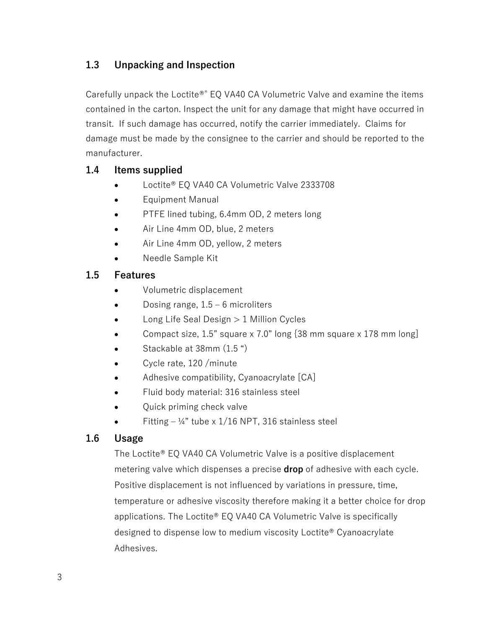## <span id="page-3-0"></span>**1.3 Unpacking and Inspection**

Carefully unpack the Loctite<sup>®®</sup> EQ VA40 CA Volumetric Valve and examine the items contained in the carton. Inspect the unit for any damage that might have occurred in transit. If such damage has occurred, notify the carrier immediately. Claims for damage must be made by the consignee to the carrier and should be reported to the manufacturer.

#### <span id="page-3-1"></span>**1.4 Items supplied**

- Loctite® EQ VA40 CA Volumetric Valve 2333708
- Equipment Manual
- PTFE lined tubing, 6.4mm OD, 2 meters long
- Air Line 4mm OD, blue, 2 meters
- Air Line 4mm OD, yellow, 2 meters
- Needle Sample Kit

#### <span id="page-3-2"></span>**1.5 Features**

- Volumetric displacement
- Dosing range,  $1.5 6$  microliters
- Long Life Seal Design > 1 Million Cycles
- Compact size, 1.5" square x 7.0" long {38 mm square x 178 mm long]
- Stackable at 38mm (1.5 ")
- Cycle rate, 120 /minute
- Adhesive compatibility, Cyanoacrylate [CA]
- Fluid body material: 316 stainless steel
- Quick priming check valve
- Fitting  $-$  ¼" tube x 1/16 NPT, 316 stainless steel

#### <span id="page-3-3"></span>**1.6 Usage**

The Loctite® EQ VA40 CA Volumetric Valve is a positive displacement metering valve which dispenses a precise **drop** of adhesive with each cycle. Positive displacement is not influenced by variations in pressure, time, temperature or adhesive viscosity therefore making it a better choice for drop applications. The Loctite® EQ VA40 CA Volumetric Valve is specifically designed to dispense low to medium viscosity Loctite® Cyanoacrylate Adhesives.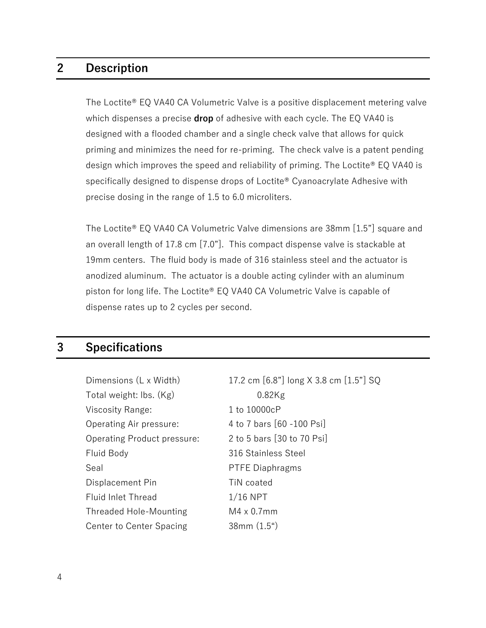## <span id="page-4-0"></span>**2 Description**

The Loctite® EQ VA40 CA Volumetric Valve is a positive displacement metering valve which dispenses a precise **drop** of adhesive with each cycle. The EQ VA40 is designed with a flooded chamber and a single check valve that allows for quick priming and minimizes the need for re-priming. The check valve is a patent pending design which improves the speed and reliability of priming. The Loctite® EQ VA40 is specifically designed to dispense drops of Loctite® Cyanoacrylate Adhesive with precise dosing in the range of 1.5 to 6.0 microliters.

The Loctite® EQ VA40 CA Volumetric Valve dimensions are 38mm [1.5"] square and an overall length of 17.8 cm [7.0"]. This compact dispense valve is stackable at 19mm centers. The fluid body is made of 316 stainless steel and the actuator is anodized aluminum. The actuator is a double acting cylinder with an aluminum piston for long life. The Loctite® EQ VA40 CA Volumetric Valve is capable of dispense rates up to 2 cycles per second.

## <span id="page-4-1"></span>**3 Specifications**

| Dimensions (L x Width)        | 17.2 cm [6.8"] long X 3.8 cm [1.5"] SQ |  |
|-------------------------------|----------------------------------------|--|
| Total weight: Ibs. (Kg)       | $0.82$ Kg                              |  |
| Viscosity Range:              | 1 to 10000cP                           |  |
| Operating Air pressure:       | 4 to 7 bars [60 -100 Psi]              |  |
| Operating Product pressure:   | 2 to 5 bars [30 to 70 Psi]             |  |
| Fluid Body                    | 316 Stainless Steel                    |  |
| Seal                          | <b>PTFE Diaphragms</b>                 |  |
| Displacement Pin              | TiN coated                             |  |
| <b>Fluid Inlet Thread</b>     | $1/16$ NPT                             |  |
| <b>Threaded Hole-Mounting</b> | $M4 \times 0.7$ mm                     |  |
| Center to Center Spacing      | 38mm(1.5")                             |  |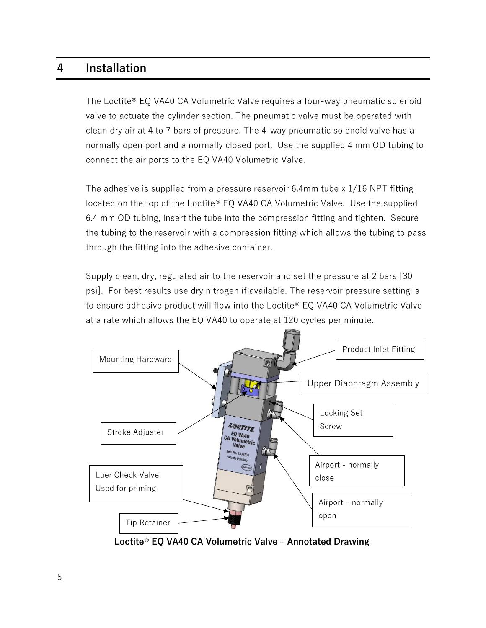## <span id="page-5-0"></span>**4 Installation**

The Loctite® EQ VA40 CA Volumetric Valve requires a four-way pneumatic solenoid valve to actuate the cylinder section. The pneumatic valve must be operated with clean dry air at 4 to 7 bars of pressure. The 4-way pneumatic solenoid valve has a normally open port and a normally closed port. Use the supplied 4 mm OD tubing to connect the air ports to the EQ VA40 Volumetric Valve.

The adhesive is supplied from a pressure reservoir 6.4mm tube x 1/16 NPT fitting located on the top of the Loctite® EQ VA40 CA Volumetric Valve. Use the supplied 6.4 mm OD tubing, insert the tube into the compression fitting and tighten. Secure the tubing to the reservoir with a compression fitting which allows the tubing to pass through the fitting into the adhesive container.

Supply clean, dry, regulated air to the reservoir and set the pressure at 2 bars [30 psi]. For best results use dry nitrogen if available. The reservoir pressure setting is to ensure adhesive product will flow into the Loctite® EQ VA40 CA Volumetric Valve at a rate which allows the EQ VA40 to operate at 120 cycles per minute.



**Loctite® EQ VA40 CA Volumetric Valve – Annotated Drawing**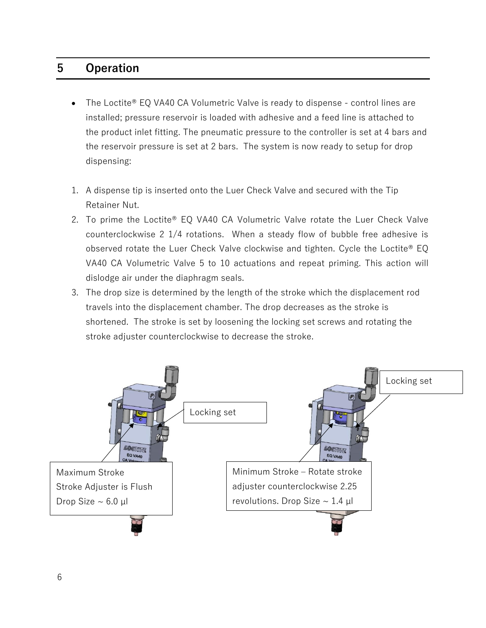## <span id="page-6-0"></span>**5 Operation**

- The Loctite® EQ VA40 CA Volumetric Valve is ready to dispense control lines are installed; pressure reservoir is loaded with adhesive and a feed line is attached to the product inlet fitting. The pneumatic pressure to the controller is set at 4 bars and the reservoir pressure is set at 2 bars. The system is now ready to setup for drop dispensing:
- 1. A dispense tip is inserted onto the Luer Check Valve and secured with the Tip Retainer Nut.
- 2. To prime the Loctite® EQ VA40 CA Volumetric Valve rotate the Luer Check Valve counterclockwise 2 1/4 rotations. When a steady flow of bubble free adhesive is observed rotate the Luer Check Valve clockwise and tighten. Cycle the Loctite® EQ VA40 CA Volumetric Valve 5 to 10 actuations and repeat priming. This action will dislodge air under the diaphragm seals.
- 3. The drop size is determined by the length of the stroke which the displacement rod travels into the displacement chamber. The drop decreases as the stroke is shortened. The stroke is set by loosening the locking set screws and rotating the stroke adjuster counterclockwise to decrease the stroke.

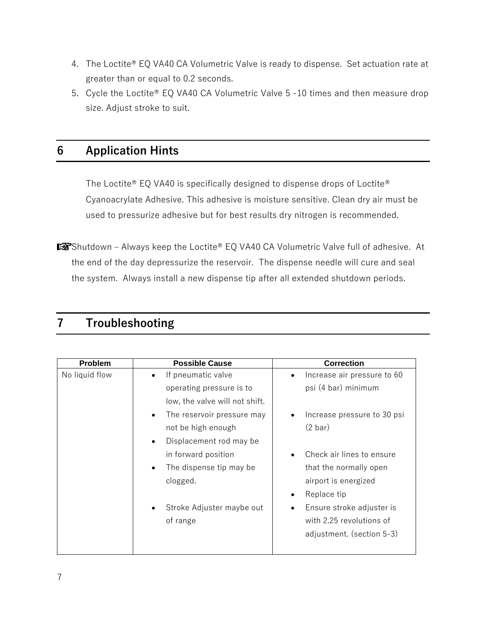- 4. The Loctite® EQ VA40 CA Volumetric Valve is ready to dispense. Set actuation rate at greater than or equal to 0.2 seconds.
- 5. Cycle the Loctite® EQ VA40 CA Volumetric Valve 5 -10 times and then measure drop size. Adjust stroke to suit.

## <span id="page-7-0"></span>**6 Application Hints**

The Loctite® EQ VA40 is specifically designed to dispense drops of Loctite® Cyanoacrylate Adhesive. This adhesive is moisture sensitive. Clean dry air must be used to pressurize adhesive but for best results dry nitrogen is recommended.

■Shutdown – Always keep the Loctite® EQ VA40 CA Volumetric Valve full of adhesive. At the end of the day depressurize the reservoir. The dispense needle will cure and seal the system. Always install a new dispense tip after all extended shutdown periods.

## <span id="page-7-1"></span>**7 Troubleshooting**

| <b>Problem</b> | <b>Possible Cause</b>                | <b>Correction</b>           |
|----------------|--------------------------------------|-----------------------------|
| No liquid flow | If pneumatic valve                   | Increase air pressure to 60 |
|                | operating pressure is to             | psi (4 bar) minimum         |
|                | low, the valve will not shift.       |                             |
|                | The reservoir pressure may           | Increase pressure to 30 psi |
|                | not be high enough                   | (2 bar)                     |
|                | Displacement rod may be<br>$\bullet$ |                             |
|                | in forward position                  | Check air lines to ensure   |
|                | The dispense tip may be              | that the normally open      |
|                | clogged.                             | airport is energized        |
|                |                                      | Replace tip                 |
|                | Stroke Adjuster maybe out            | Ensure stroke adjuster is   |
|                | of range                             | with 2.25 revolutions of    |
|                |                                      | adjustment. (section 5-3)   |
|                |                                      |                             |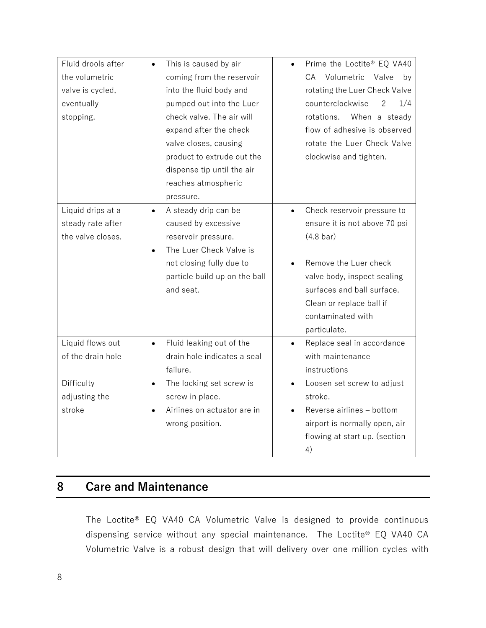| Fluid drools after | This is caused by air<br>$\bullet$    | Prime the Loctite® EQ VA40               |
|--------------------|---------------------------------------|------------------------------------------|
| the volumetric     | coming from the reservoir             | CA Volumetric<br>Valve<br>bv             |
| valve is cycled,   | into the fluid body and               | rotating the Luer Check Valve            |
| eventually         | pumped out into the Luer              | counterclockwise<br>1/4<br>2             |
| stopping.          | check valve. The air will             | When a steady<br>rotations.              |
|                    | expand after the check                | flow of adhesive is observed             |
|                    | valve closes, causing                 | rotate the Luer Check Valve              |
|                    | product to extrude out the            | clockwise and tighten.                   |
|                    | dispense tip until the air            |                                          |
|                    | reaches atmospheric                   |                                          |
|                    | pressure.                             |                                          |
| Liquid drips at a  | A steady drip can be<br>$\bullet$     | Check reservoir pressure to<br>$\bullet$ |
| steady rate after  | caused by excessive                   | ensure it is not above 70 psi            |
| the valve closes.  | reservoir pressure.                   | $(4.8 \text{ bar})$                      |
|                    | The Luer Check Valve is<br>$\bullet$  |                                          |
|                    | not closing fully due to              | Remove the Luer check                    |
|                    | particle build up on the ball         | valve body, inspect sealing              |
|                    | and seat.                             | surfaces and ball surface.               |
|                    |                                       | Clean or replace ball if                 |
|                    |                                       | contaminated with                        |
|                    |                                       | particulate.                             |
| Liquid flows out   | Fluid leaking out of the<br>$\bullet$ | Replace seal in accordance<br>$\bullet$  |
| of the drain hole  | drain hole indicates a seal           | with maintenance                         |
|                    | failure.                              | instructions                             |
| Difficulty         | The locking set screw is<br>$\bullet$ | Loosen set screw to adjust<br>$\bullet$  |
| adjusting the      | screw in place.                       | stroke.                                  |
| stroke             | Airlines on actuator are in           | Reverse airlines - bottom                |
|                    |                                       |                                          |
|                    | wrong position.                       | airport is normally open, air            |
|                    |                                       | flowing at start up. (section            |

## <span id="page-8-0"></span>**8 Care and Maintenance**

The Loctite® EQ VA40 CA Volumetric Valve is designed to provide continuous dispensing service without any special maintenance. The Loctite® EQ VA40 CA Volumetric Valve is a robust design that will delivery over one million cycles with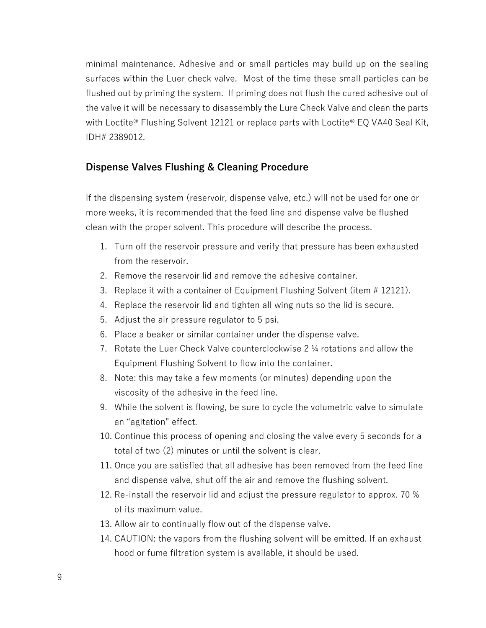minimal maintenance. Adhesive and or small particles may build up on the sealing surfaces within the Luer check valve. Most of the time these small particles can be flushed out by priming the system. If priming does not flush the cured adhesive out of the valve it will be necessary to disassembly the Lure Check Valve and clean the parts with Loctite<sup>®</sup> Flushing Solvent 12121 or replace parts with Loctite® EO VA40 Seal Kit, IDH# 2389012.

#### **Dispense Valves Flushing & Cleaning Procedure**

If the dispensing system (reservoir, dispense valve, etc.) will not be used for one or more weeks, it is recommended that the feed line and dispense valve be flushed clean with the proper solvent. This procedure will describe the process.

- 1. Turn off the reservoir pressure and verify that pressure has been exhausted from the reservoir.
- 2. Remove the reservoir lid and remove the adhesive container.
- 3. Replace it with a container of Equipment Flushing Solvent (item # 12121).
- 4. Replace the reservoir lid and tighten all wing nuts so the lid is secure.
- 5. Adjust the air pressure regulator to 5 psi.
- 6. Place a beaker or similar container under the dispense valve.
- 7. Rotate the Luer Check Valve counterclockwise 2 ¼ rotations and allow the Equipment Flushing Solvent to flow into the container.
- 8. Note: this may take a few moments (or minutes) depending upon the viscosity of the adhesive in the feed line.
- 9. While the solvent is flowing, be sure to cycle the volumetric valve to simulate an "agitation" effect.
- 10. Continue this process of opening and closing the valve every 5 seconds for a total of two (2) minutes or until the solvent is clear.
- 11. Once you are satisfied that all adhesive has been removed from the feed line and dispense valve, shut off the air and remove the flushing solvent.
- 12. Re-install the reservoir lid and adjust the pressure regulator to approx. 70 % of its maximum value.
- 13. Allow air to continually flow out of the dispense valve.
- 14. CAUTION: the vapors from the flushing solvent will be emitted. If an exhaust hood or fume filtration system is available, it should be used.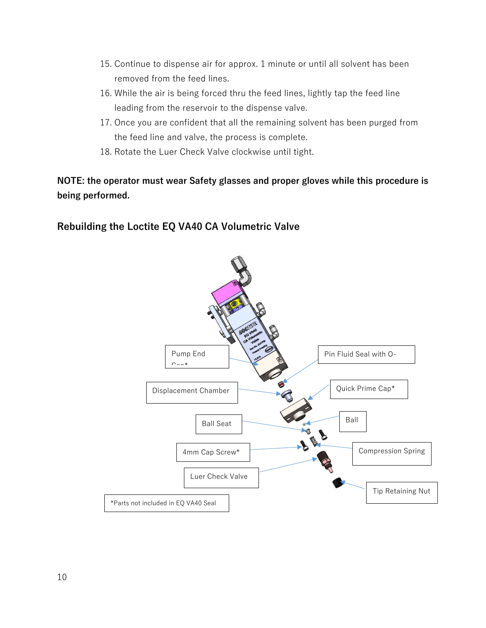- 15. Continue to dispense air for approx. 1 minute or until all solvent has been removed from the feed lines.
- 16. While the air is being forced thru the feed lines, lightly tap the feed line leading from the reservoir to the dispense valve.
- 17. Once you are confident that all the remaining solvent has been purged from the feed line and valve, the process is complete.
- 18. Rotate the Luer Check Valve clockwise until tight.

## **NOTE: the operator must wear Safety glasses and proper gloves while this procedure is being performed.**

## **Rebuilding the Loctite EQ VA40 CA Volumetric Valve**

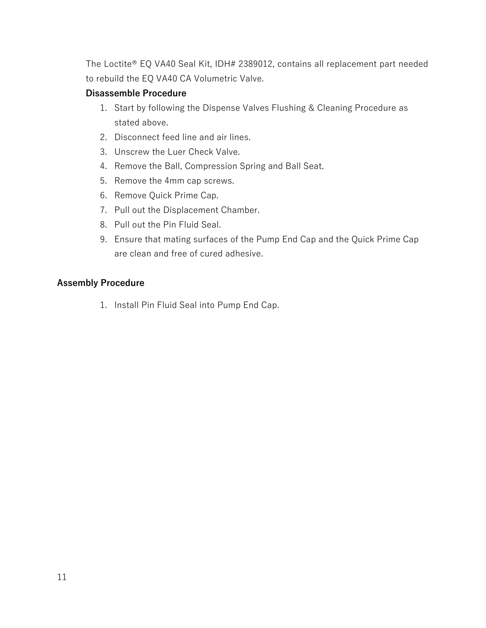The Loctite® EQ VA40 Seal Kit, IDH# 2389012, contains all replacement part needed to rebuild the EQ VA40 CA Volumetric Valve.

#### **Disassemble Procedure**

- 1. Start by following the Dispense Valves Flushing & Cleaning Procedure as stated above.
- 2. Disconnect feed line and air lines.
- 3. Unscrew the Luer Check Valve.
- 4. Remove the Ball, Compression Spring and Ball Seat.
- 5. Remove the 4mm cap screws.
- 6. Remove Quick Prime Cap.
- 7. Pull out the Displacement Chamber.
- 8. Pull out the Pin Fluid Seal.
- 9. Ensure that mating surfaces of the Pump End Cap and the Quick Prime Cap are clean and free of cured adhesive.

#### **Assembly Procedure**

1. Install Pin Fluid Seal into Pump End Cap.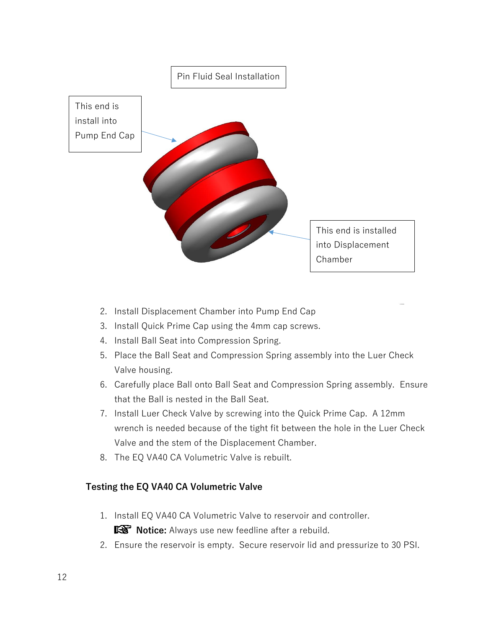

- 2. Install Displacement Chamber into Pump End Cap
- 3. Install Quick Prime Cap using the 4mm cap screws.
- 4. Install Ball Seat into Compression Spring.
- 5. Place the Ball Seat and Compression Spring assembly into the Luer Check Valve housing.
- 6. Carefully place Ball onto Ball Seat and Compression Spring assembly. Ensure that the Ball is nested in the Ball Seat.
- 7. Install Luer Check Valve by screwing into the Quick Prime Cap. A 12mm wrench is needed because of the tight fit between the hole in the Luer Check Valve and the stem of the Displacement Chamber.
- 8. The EQ VA40 CA Volumetric Valve is rebuilt.

#### **Testing the EQ VA40 CA Volumetric Valve**

- 1. Install EQ VA40 CA Volumetric Valve to reservoir and controller. **IG Notice:** Always use new feedline after a rebuild.
- 2. Ensure the reservoir is empty. Secure reservoir lid and pressurize to 30 PSI.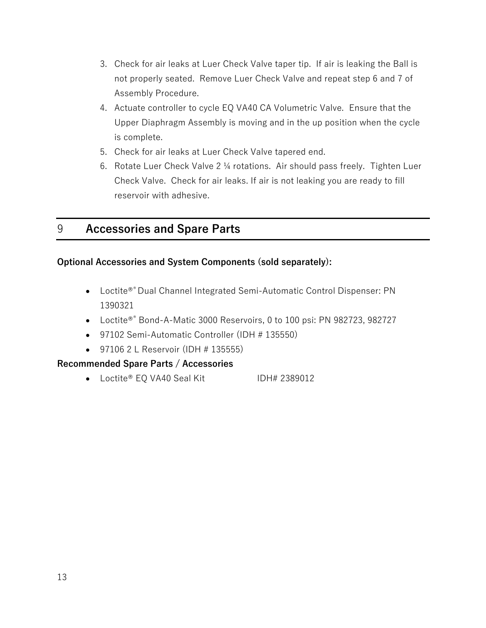- 3. Check for air leaks at Luer Check Valve taper tip. If air is leaking the Ball is not properly seated. Remove Luer Check Valve and repeat step 6 and 7 of Assembly Procedure.
- 4. Actuate controller to cycle EQ VA40 CA Volumetric Valve. Ensure that the Upper Diaphragm Assembly is moving and in the up position when the cycle is complete.
- 5. Check for air leaks at Luer Check Valve tapered end.
- 6. Rotate Luer Check Valve 2 ¼ rotations. Air should pass freely. Tighten Luer Check Valve. Check for air leaks. If air is not leaking you are ready to fill reservoir with adhesive.

## <span id="page-13-0"></span>9 **Accessories and Spare Parts**

#### **Optional Accessories and System Components (sold separately):**

- Loctite®® Dual Channel Integrated Semi-Automatic Control Dispenser: PN 1390321
- Loctite<sup>®®</sup> Bond-A-Matic 3000 Reservoirs, 0 to 100 psi: PN 982723, 982727
- 97102 Semi-Automatic Controller (IDH # 135550)
- 97106 2 L Reservoir (IDH # 135555)

#### **Recommended Spare Parts / Accessories**

• Loctite® EQ VA40 Seal Kit IDH# 2389012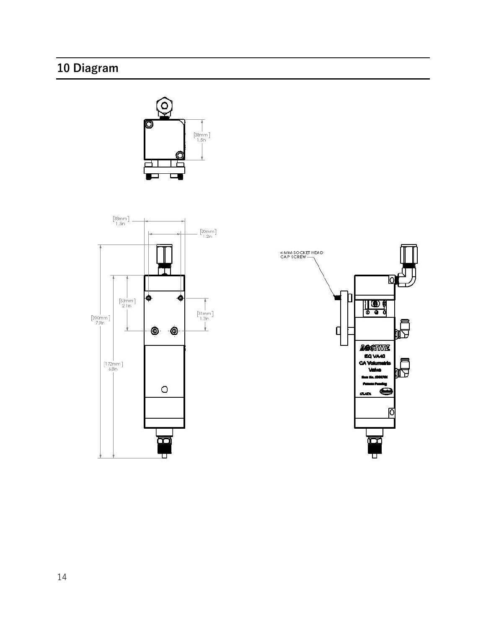## <span id="page-14-0"></span>**10 Diagram**





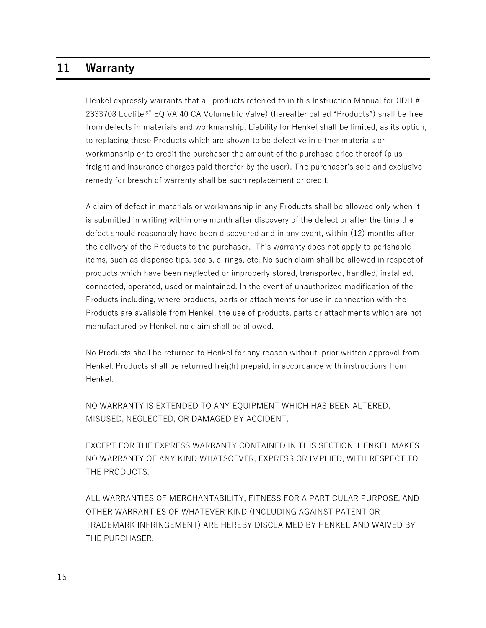## **11 Warranty**

Henkel expressly warrants that all products referred to in this Instruction Manual for (IDH # 2333708 Loctite®® EQ VA 40 CA Volumetric Valve) (hereafter called "Products") shall be free from defects in materials and workmanship. Liability for Henkel shall be limited, as its option, to replacing those Products which are shown to be defective in either materials or workmanship or to credit the purchaser the amount of the purchase price thereof (plus freight and insurance charges paid therefor by the user). The purchaser's sole and exclusive remedy for breach of warranty shall be such replacement or credit.

A claim of defect in materials or workmanship in any Products shall be allowed only when it is submitted in writing within one month after discovery of the defect or after the time the defect should reasonably have been discovered and in any event, within (12) months after the delivery of the Products to the purchaser. This warranty does not apply to perishable items, such as dispense tips, seals, o-rings, etc. No such claim shall be allowed in respect of products which have been neglected or improperly stored, transported, handled, installed, connected, operated, used or maintained. In the event of unauthorized modification of the Products including, where products, parts or attachments for use in connection with the Products are available from Henkel, the use of products, parts or attachments which are not manufactured by Henkel, no claim shall be allowed.

No Products shall be returned to Henkel for any reason without prior written approval from Henkel. Products shall be returned freight prepaid, in accordance with instructions from Henkel.

NO WARRANTY IS EXTENDED TO ANY EQUIPMENT WHICH HAS BEEN ALTERED, MISUSED, NEGLECTED, OR DAMAGED BY ACCIDENT.

EXCEPT FOR THE EXPRESS WARRANTY CONTAINED IN THIS SECTION, HENKEL MAKES NO WARRANTY OF ANY KIND WHATSOEVER, EXPRESS OR IMPLIED, WITH RESPECT TO THE PRODUCTS.

ALL WARRANTIES OF MERCHANTABILITY, FITNESS FOR A PARTICULAR PURPOSE, AND OTHER WARRANTIES OF WHATEVER KIND (INCLUDING AGAINST PATENT OR TRADEMARK INFRINGEMENT) ARE HEREBY DISCLAIMED BY HENKEL AND WAIVED BY THE PURCHASER.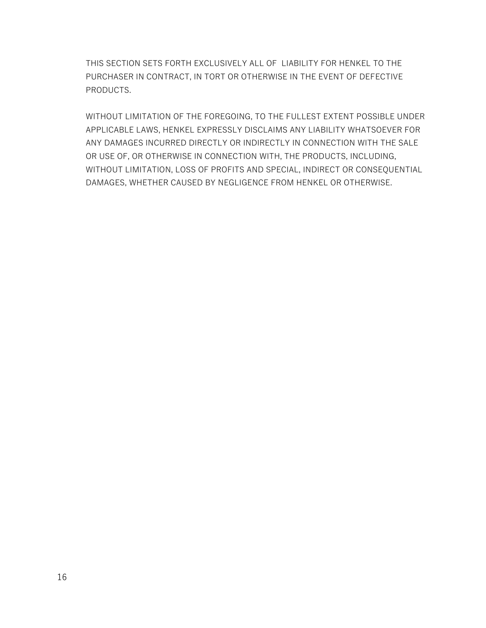THIS SECTION SETS FORTH EXCLUSIVELY ALL OF LIABILITY FOR HENKEL TO THE PURCHASER IN CONTRACT, IN TORT OR OTHERWISE IN THE EVENT OF DEFECTIVE PRODUCTS.

WITHOUT LIMITATION OF THE FOREGOING, TO THE FULLEST EXTENT POSSIBLE UNDER APPLICABLE LAWS, HENKEL EXPRESSLY DISCLAIMS ANY LIABILITY WHATSOEVER FOR ANY DAMAGES INCURRED DIRECTLY OR INDIRECTLY IN CONNECTION WITH THE SALE OR USE OF, OR OTHERWISE IN CONNECTION WITH, THE PRODUCTS, INCLUDING, WITHOUT LIMITATION, LOSS OF PROFITS AND SPECIAL, INDIRECT OR CONSEQUENTIAL DAMAGES, WHETHER CAUSED BY NEGLIGENCE FROM HENKEL OR OTHERWISE.